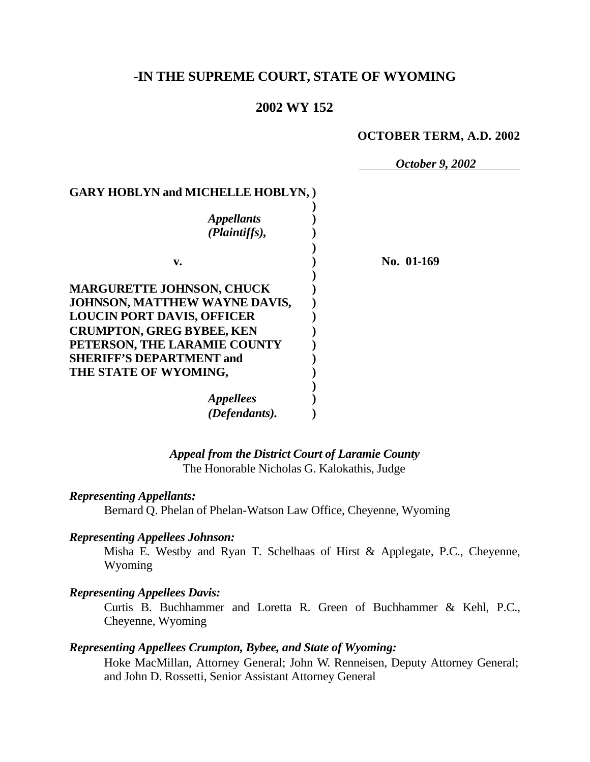# **-IN THE SUPREME COURT, STATE OF WYOMING**

## **2002 WY 152**

#### **OCTOBER TERM, A.D. 2002**

*October 9, 2002*

## **GARY HOBLYN and MICHELLE HOBLYN, )**

| No. 01-169 |
|------------|
|            |
|            |
|            |
|            |
|            |
|            |
|            |
|            |
|            |
|            |
|            |

# *Appeal from the District Court of Laramie County*

The Honorable Nicholas G. Kalokathis, Judge

#### *Representing Appellants:*

Bernard Q. Phelan of Phelan-Watson Law Office, Cheyenne, Wyoming

#### *Representing Appellees Johnson:*

Misha E. Westby and Ryan T. Schelhaas of Hirst & Applegate, P.C., Cheyenne, Wyoming

#### *Representing Appellees Davis:*

Curtis B. Buchhammer and Loretta R. Green of Buchhammer & Kehl, P.C., Cheyenne, Wyoming

#### *Representing Appellees Crumpton, Bybee, and State of Wyoming:*

Hoke MacMillan, Attorney General; John W. Renneisen, Deputy Attorney General; and John D. Rossetti, Senior Assistant Attorney General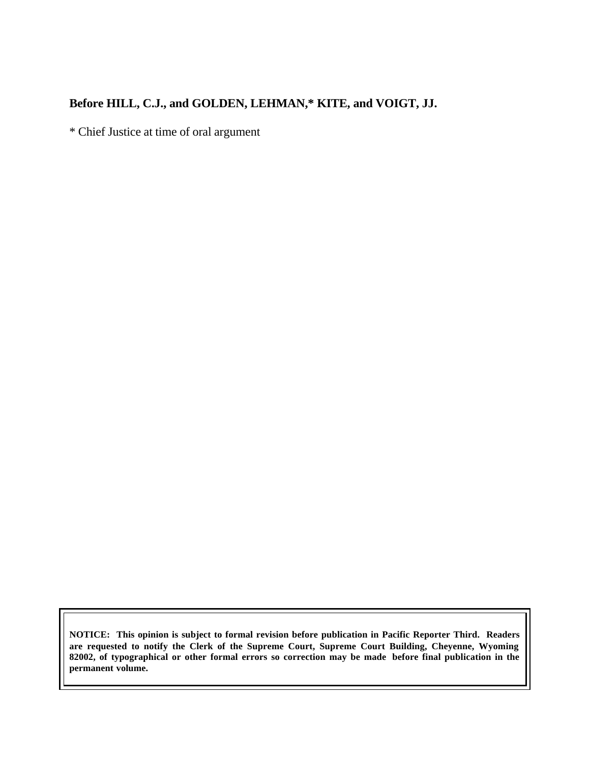## **Before HILL, C.J., and GOLDEN, LEHMAN,\* KITE, and VOIGT, JJ.**

\* Chief Justice at time of oral argument

**NOTICE: This opinion is subject to formal revision before publication in Pacific Reporter Third. Readers are requested to notify the Clerk of the Supreme Court, Supreme Court Building, Cheyenne, Wyoming 82002, of typographical or other formal errors so correction may be made before final publication in the permanent volume.**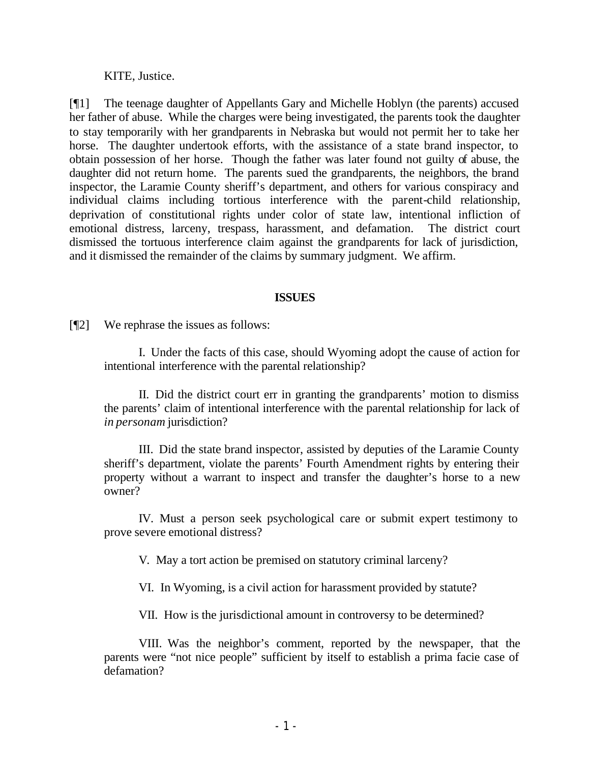KITE, Justice.

[¶1] The teenage daughter of Appellants Gary and Michelle Hoblyn (the parents) accused her father of abuse. While the charges were being investigated, the parents took the daughter to stay temporarily with her grandparents in Nebraska but would not permit her to take her horse. The daughter undertook efforts, with the assistance of a state brand inspector, to obtain possession of her horse. Though the father was later found not guilty of abuse, the daughter did not return home. The parents sued the grandparents, the neighbors, the brand inspector, the Laramie County sheriff's department, and others for various conspiracy and individual claims including tortious interference with the parent-child relationship, deprivation of constitutional rights under color of state law, intentional infliction of emotional distress, larceny, trespass, harassment, and defamation. The district court dismissed the tortuous interference claim against the grandparents for lack of jurisdiction, and it dismissed the remainder of the claims by summary judgment. We affirm.

#### **ISSUES**

[¶2] We rephrase the issues as follows:

I. Under the facts of this case, should Wyoming adopt the cause of action for intentional interference with the parental relationship?

II. Did the district court err in granting the grandparents' motion to dismiss the parents' claim of intentional interference with the parental relationship for lack of *in personam* jurisdiction?

III. Did the state brand inspector, assisted by deputies of the Laramie County sheriff's department, violate the parents' Fourth Amendment rights by entering their property without a warrant to inspect and transfer the daughter's horse to a new owner?

IV. Must a person seek psychological care or submit expert testimony to prove severe emotional distress?

V. May a tort action be premised on statutory criminal larceny?

VI. In Wyoming, is a civil action for harassment provided by statute?

VII. How is the jurisdictional amount in controversy to be determined?

VIII. Was the neighbor's comment, reported by the newspaper, that the parents were "not nice people" sufficient by itself to establish a prima facie case of defamation?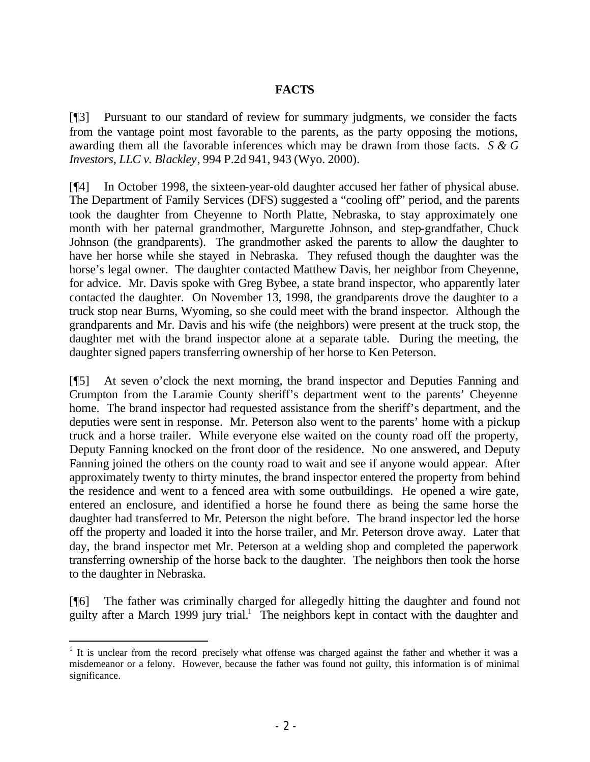## **FACTS**

[¶3] Pursuant to our standard of review for summary judgments, we consider the facts from the vantage point most favorable to the parents, as the party opposing the motions, awarding them all the favorable inferences which may be drawn from those facts. *S & G Investors, LLC v. Blackley*, 994 P.2d 941, 943 (Wyo. 2000).

[¶4] In October 1998, the sixteen-year-old daughter accused her father of physical abuse. The Department of Family Services (DFS) suggested a "cooling off" period, and the parents took the daughter from Cheyenne to North Platte, Nebraska, to stay approximately one month with her paternal grandmother, Margurette Johnson, and step-grandfather, Chuck Johnson (the grandparents). The grandmother asked the parents to allow the daughter to have her horse while she stayed in Nebraska. They refused though the daughter was the horse's legal owner. The daughter contacted Matthew Davis, her neighbor from Cheyenne, for advice. Mr. Davis spoke with Greg Bybee, a state brand inspector, who apparently later contacted the daughter. On November 13, 1998, the grandparents drove the daughter to a truck stop near Burns, Wyoming, so she could meet with the brand inspector. Although the grandparents and Mr. Davis and his wife (the neighbors) were present at the truck stop, the daughter met with the brand inspector alone at a separate table. During the meeting, the daughter signed papers transferring ownership of her horse to Ken Peterson.

[¶5] At seven o'clock the next morning, the brand inspector and Deputies Fanning and Crumpton from the Laramie County sheriff's department went to the parents' Cheyenne home. The brand inspector had requested assistance from the sheriff's department, and the deputies were sent in response. Mr. Peterson also went to the parents' home with a pickup truck and a horse trailer. While everyone else waited on the county road off the property, Deputy Fanning knocked on the front door of the residence. No one answered, and Deputy Fanning joined the others on the county road to wait and see if anyone would appear. After approximately twenty to thirty minutes, the brand inspector entered the property from behind the residence and went to a fenced area with some outbuildings. He opened a wire gate, entered an enclosure, and identified a horse he found there as being the same horse the daughter had transferred to Mr. Peterson the night before. The brand inspector led the horse off the property and loaded it into the horse trailer, and Mr. Peterson drove away. Later that day, the brand inspector met Mr. Peterson at a welding shop and completed the paperwork transferring ownership of the horse back to the daughter. The neighbors then took the horse to the daughter in Nebraska.

[¶6] The father was criminally charged for allegedly hitting the daughter and found not guilty after a March 1999 jury trial.<sup>1</sup> The neighbors kept in contact with the daughter and

 $1$  It is unclear from the record precisely what offense was charged against the father and whether it was a misdemeanor or a felony. However, because the father was found not guilty, this information is of minimal significance.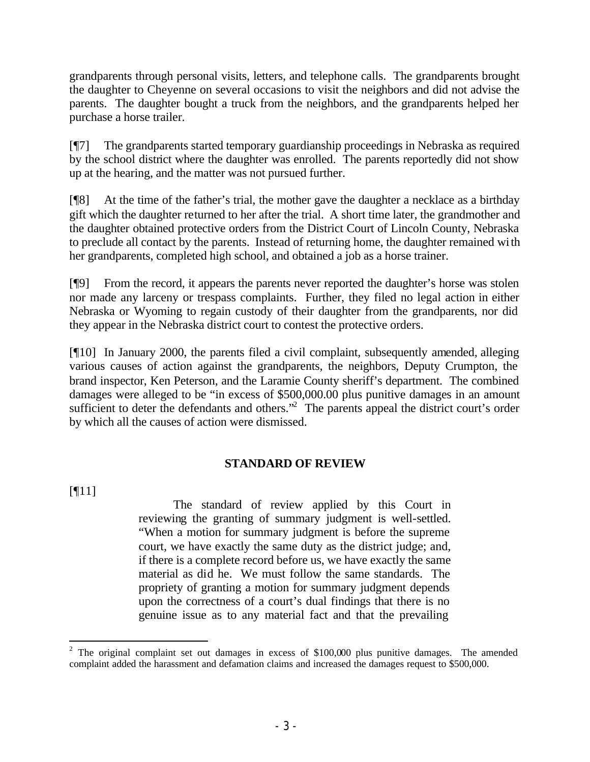grandparents through personal visits, letters, and telephone calls. The grandparents brought the daughter to Cheyenne on several occasions to visit the neighbors and did not advise the parents. The daughter bought a truck from the neighbors, and the grandparents helped her purchase a horse trailer.

[¶7] The grandparents started temporary guardianship proceedings in Nebraska as required by the school district where the daughter was enrolled. The parents reportedly did not show up at the hearing, and the matter was not pursued further.

[¶8] At the time of the father's trial, the mother gave the daughter a necklace as a birthday gift which the daughter returned to her after the trial. A short time later, the grandmother and the daughter obtained protective orders from the District Court of Lincoln County, Nebraska to preclude all contact by the parents. Instead of returning home, the daughter remained with her grandparents, completed high school, and obtained a job as a horse trainer.

[¶9] From the record, it appears the parents never reported the daughter's horse was stolen nor made any larceny or trespass complaints. Further, they filed no legal action in either Nebraska or Wyoming to regain custody of their daughter from the grandparents, nor did they appear in the Nebraska district court to contest the protective orders.

[¶10] In January 2000, the parents filed a civil complaint, subsequently amended, alleging various causes of action against the grandparents, the neighbors, Deputy Crumpton, the brand inspector, Ken Peterson, and the Laramie County sheriff's department. The combined damages were alleged to be "in excess of \$500,000.00 plus punitive damages in an amount sufficient to deter the defendants and others."<sup>2</sup> The parents appeal the district court's order by which all the causes of action were dismissed.

## **STANDARD OF REVIEW**

 $[$ [[11]]

The standard of review applied by this Court in reviewing the granting of summary judgment is well-settled. "When a motion for summary judgment is before the supreme court, we have exactly the same duty as the district judge; and, if there is a complete record before us, we have exactly the same material as did he. We must follow the same standards. The propriety of granting a motion for summary judgment depends upon the correctness of a court's dual findings that there is no genuine issue as to any material fact and that the prevailing

 <sup>2</sup> The original complaint set out damages in excess of \$100,000 plus punitive damages. The amended complaint added the harassment and defamation claims and increased the damages request to \$500,000.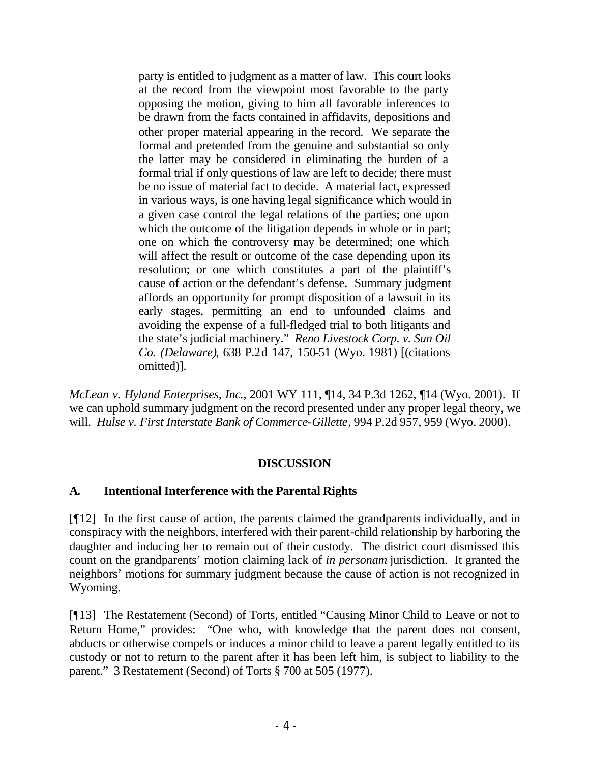party is entitled to judgment as a matter of law. This court looks at the record from the viewpoint most favorable to the party opposing the motion, giving to him all favorable inferences to be drawn from the facts contained in affidavits, depositions and other proper material appearing in the record. We separate the formal and pretended from the genuine and substantial so only the latter may be considered in eliminating the burden of a formal trial if only questions of law are left to decide; there must be no issue of material fact to decide. A material fact, expressed in various ways, is one having legal significance which would in a given case control the legal relations of the parties; one upon which the outcome of the litigation depends in whole or in part; one on which the controversy may be determined; one which will affect the result or outcome of the case depending upon its resolution; or one which constitutes a part of the plaintiff's cause of action or the defendant's defense. Summary judgment affords an opportunity for prompt disposition of a lawsuit in its early stages, permitting an end to unfounded claims and avoiding the expense of a full-fledged trial to both litigants and the state's judicial machinery." *Reno Livestock Corp. v. Sun Oil Co. (Delaware)*, 638 P.2d 147, 150-51 (Wyo. 1981) [(citations omitted)].

*McLean v. Hyland Enterprises, Inc.*, 2001 WY 111, ¶14, 34 P.3d 1262, ¶14 (Wyo. 2001). If we can uphold summary judgment on the record presented under any proper legal theory, we will. *Hulse v. First Interstate Bank of Commerce-Gillette*, 994 P.2d 957, 959 (Wyo. 2000).

### **DISCUSSION**

## **A. Intentional Interference with the Parental Rights**

[¶12] In the first cause of action, the parents claimed the grandparents individually, and in conspiracy with the neighbors, interfered with their parent-child relationship by harboring the daughter and inducing her to remain out of their custody. The district court dismissed this count on the grandparents' motion claiming lack of *in personam* jurisdiction. It granted the neighbors' motions for summary judgment because the cause of action is not recognized in Wyoming.

[¶13] The Restatement (Second) of Torts, entitled "Causing Minor Child to Leave or not to Return Home," provides: "One who, with knowledge that the parent does not consent, abducts or otherwise compels or induces a minor child to leave a parent legally entitled to its custody or not to return to the parent after it has been left him, is subject to liability to the parent." 3 Restatement (Second) of Torts § 700 at 505 (1977).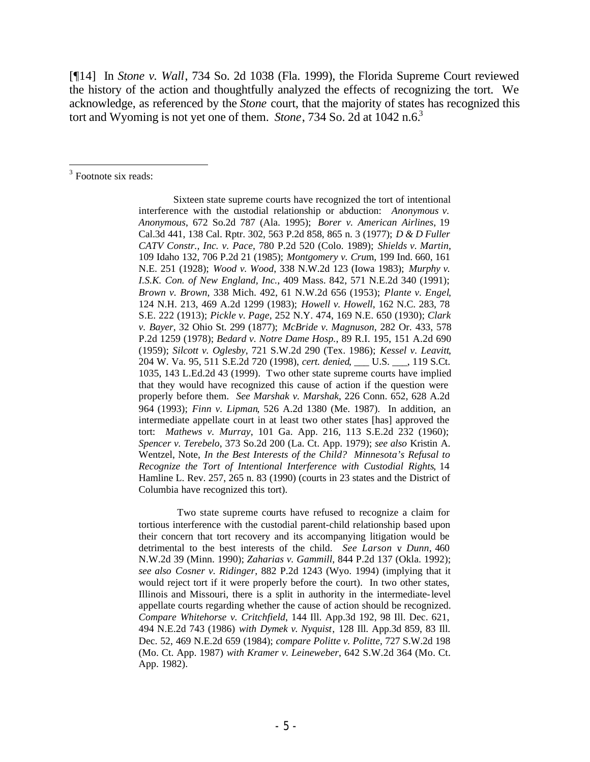[¶14] In *Stone v. Wall*, 734 So. 2d 1038 (Fla. 1999), the Florida Supreme Court reviewed the history of the action and thoughtfully analyzed the effects of recognizing the tort. We acknowledge, as referenced by the *Stone* court, that the majority of states has recognized this tort and Wyoming is not yet one of them. *Stone*, 734 So. 2d at 1042 n.6.<sup>3</sup>

<sup>3</sup> Footnote six reads:

Sixteen state supreme courts have recognized the tort of intentional interference with the custodial relationship or abduction: *Anonymous v. Anonymous*, 672 So.2d 787 (Ala. 1995); *Borer v. American Airlines*, 19 Cal.3d 441, 138 Cal. Rptr. 302, 563 P.2d 858, 865 n. 3 (1977); *D & D Fuller CATV Constr., Inc. v. Pace*, 780 P.2d 520 (Colo. 1989); *Shields v. Martin*, 109 Idaho 132, 706 P.2d 21 (1985); *Montgomery v. Cru*m, 199 Ind. 660, 161 N.E. 251 (1928); *Wood v. Wood*, 338 N.W.2d 123 (Iowa 1983); *Murphy v. I.S.K. Con. of New England, Inc.*, 409 Mass. 842, 571 N.E.2d 340 (1991); *Brown v. Brown*, 338 Mich. 492, 61 N.W.2d 656 (1953); *Plante v. Engel*, 124 N.H. 213, 469 A.2d 1299 (1983); *Howell v. Howell*, 162 N.C. 283, 78 S.E. 222 (1913); *Pickle v. Page*, 252 N.Y. 474, 169 N.E. 650 (1930); *Clark v. Bayer*, 32 Ohio St. 299 (1877); *McBride v. Magnuson*, 282 Or. 433, 578 P.2d 1259 (1978); *Bedard v. Notre Dame Hosp.*, 89 R.I. 195, 151 A.2d 690 (1959); *Silcott v. Oglesby*, 721 S.W.2d 290 (Tex. 1986); *Kessel v. Leavitt*, 204 W. Va. 95, 511 S.E.2d 720 (1998), *cert. denied*, \_\_\_ U.S. \_\_\_, 119 S.Ct. 1035, 143 L.Ed.2d 43 (1999). Two other state supreme courts have implied that they would have recognized this cause of action if the question were properly before them. *See Marshak v. Marshak*, 226 Conn. 652, 628 A.2d 964 (1993); *Finn v. Lipman*, 526 A.2d 1380 (Me. 1987). In addition, an intermediate appellate court in at least two other states [has] approved the tort: *Mathews v. Murray*, 101 Ga. App. 216, 113 S.E.2d 232 (1960); *Spencer v. Terebelo*, 373 So.2d 200 (La. Ct. App. 1979); *see also* Kristin A. Wentzel, Note, *In the Best Interests of the Child? Minnesota's Refusal to Recognize the Tort of Intentional Interference with Custodial Rights*, 14 Hamline L. Rev. 257, 265 n. 83 (1990) (courts in 23 states and the District of Columbia have recognized this tort).

 Two state supreme courts have refused to recognize a claim for tortious interference with the custodial parent-child relationship based upon their concern that tort recovery and its accompanying litigation would be detrimental to the best interests of the child. *See Larson v. Dunn*, 460 N.W.2d 39 (Minn. 1990); *Zaharias v. Gammill*, 844 P.2d 137 (Okla. 1992); *see also Cosner v. Ridinger*, 882 P.2d 1243 (Wyo. 1994) (implying that it would reject tort if it were properly before the court). In two other states, Illinois and Missouri, there is a split in authority in the intermediate-level appellate courts regarding whether the cause of action should be recognized. *Compare Whitehorse v. Critchfield*, 144 Ill. App.3d 192, 98 Ill. Dec. 621, 494 N.E.2d 743 (1986) *with Dymek v. Nyquist*, 128 Ill. App.3d 859, 83 Ill. Dec. 52, 469 N.E.2d 659 (1984); *compare Politte v. Politte*, 727 S.W.2d 198 (Mo. Ct. App. 1987) *with Kramer v. Leineweber*, 642 S.W.2d 364 (Mo. Ct. App. 1982).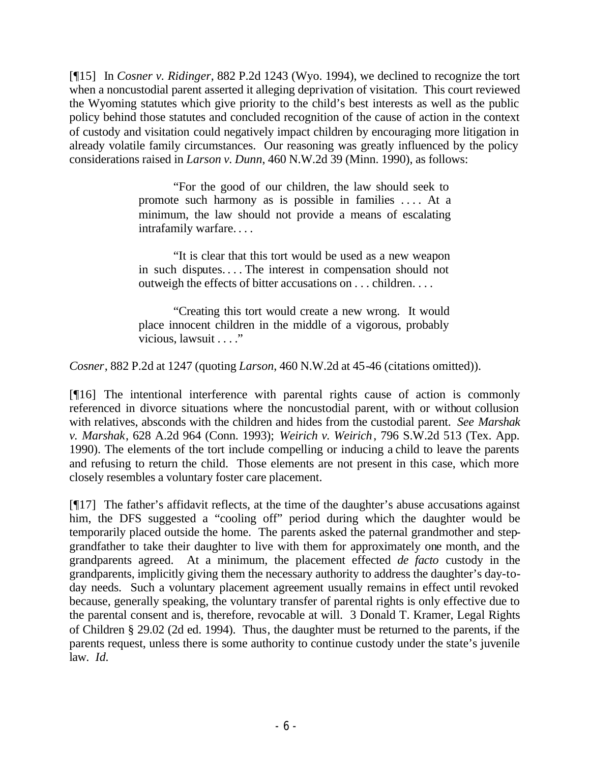[¶15] In *Cosner v. Ridinger*, 882 P.2d 1243 (Wyo. 1994), we declined to recognize the tort when a noncustodial parent asserted it alleging deprivation of visitation. This court reviewed the Wyoming statutes which give priority to the child's best interests as well as the public policy behind those statutes and concluded recognition of the cause of action in the context of custody and visitation could negatively impact children by encouraging more litigation in already volatile family circumstances. Our reasoning was greatly influenced by the policy considerations raised in *Larson v. Dunn*, 460 N.W.2d 39 (Minn. 1990), as follows:

> "For the good of our children, the law should seek to promote such harmony as is possible in families . . . . At a minimum, the law should not provide a means of escalating intrafamily warfare. . . .

> "It is clear that this tort would be used as a new weapon in such disputes. . . . The interest in compensation should not outweigh the effects of bitter accusations on . . . children. . . .

> "Creating this tort would create a new wrong. It would place innocent children in the middle of a vigorous, probably vicious, lawsuit . . . ."

*Cosner*, 882 P.2d at 1247 (quoting *Larson*, 460 N.W.2d at 45-46 (citations omitted)).

[¶16] The intentional interference with parental rights cause of action is commonly referenced in divorce situations where the noncustodial parent, with or without collusion with relatives, absconds with the children and hides from the custodial parent. *See Marshak v. Marshak*, 628 A.2d 964 (Conn. 1993); *Weirich v. Weirich*, 796 S.W.2d 513 (Tex. App. 1990). The elements of the tort include compelling or inducing a child to leave the parents and refusing to return the child. Those elements are not present in this case, which more closely resembles a voluntary foster care placement.

[¶17] The father's affidavit reflects, at the time of the daughter's abuse accusations against him, the DFS suggested a "cooling off" period during which the daughter would be temporarily placed outside the home. The parents asked the paternal grandmother and stepgrandfather to take their daughter to live with them for approximately one month, and the grandparents agreed. At a minimum, the placement effected *de facto* custody in the grandparents, implicitly giving them the necessary authority to address the daughter's day-today needs. Such a voluntary placement agreement usually remains in effect until revoked because, generally speaking, the voluntary transfer of parental rights is only effective due to the parental consent and is, therefore, revocable at will. 3 Donald T. Kramer, Legal Rights of Children § 29.02 (2d ed. 1994). Thus, the daughter must be returned to the parents, if the parents request, unless there is some authority to continue custody under the state's juvenile law. *Id.*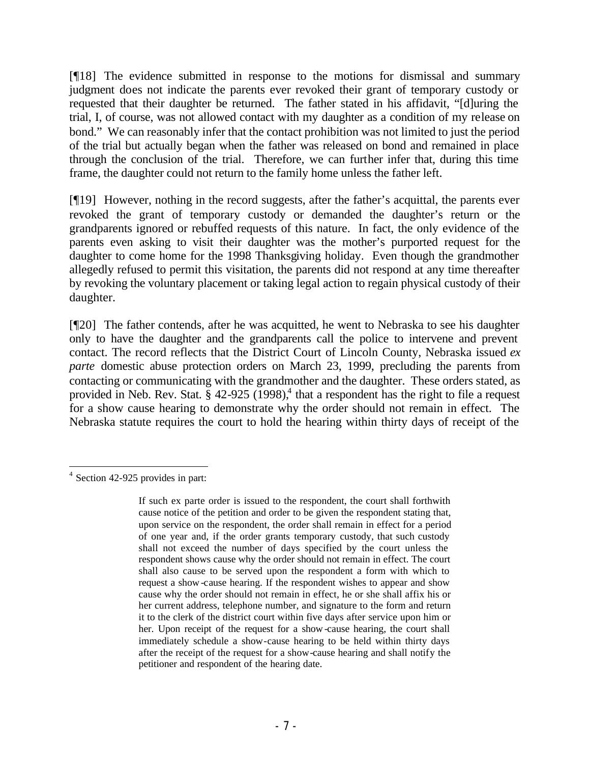[¶18] The evidence submitted in response to the motions for dismissal and summary judgment does not indicate the parents ever revoked their grant of temporary custody or requested that their daughter be returned. The father stated in his affidavit, "[d]uring the trial, I, of course, was not allowed contact with my daughter as a condition of my release on bond." We can reasonably infer that the contact prohibition was not limited to just the period of the trial but actually began when the father was released on bond and remained in place through the conclusion of the trial. Therefore, we can further infer that, during this time frame, the daughter could not return to the family home unless the father left.

[¶19] However, nothing in the record suggests, after the father's acquittal, the parents ever revoked the grant of temporary custody or demanded the daughter's return or the grandparents ignored or rebuffed requests of this nature. In fact, the only evidence of the parents even asking to visit their daughter was the mother's purported request for the daughter to come home for the 1998 Thanksgiving holiday. Even though the grandmother allegedly refused to permit this visitation, the parents did not respond at any time thereafter by revoking the voluntary placement or taking legal action to regain physical custody of their daughter.

[¶20] The father contends, after he was acquitted, he went to Nebraska to see his daughter only to have the daughter and the grandparents call the police to intervene and prevent contact. The record reflects that the District Court of Lincoln County, Nebraska issued *ex parte* domestic abuse protection orders on March 23, 1999, precluding the parents from contacting or communicating with the grandmother and the daughter. These orders stated, as provided in Neb. Rev. Stat.  $\S$  42-925 (1998),<sup>4</sup> that a respondent has the right to file a request for a show cause hearing to demonstrate why the order should not remain in effect. The Nebraska statute requires the court to hold the hearing within thirty days of receipt of the

 <sup>4</sup> Section 42-925 provides in part:

If such ex parte order is issued to the respondent, the court shall forthwith cause notice of the petition and order to be given the respondent stating that, upon service on the respondent, the order shall remain in effect for a period of one year and, if the order grants temporary custody, that such custody shall not exceed the number of days specified by the court unless the respondent shows cause why the order should not remain in effect. The court shall also cause to be served upon the respondent a form with which to request a show-cause hearing. If the respondent wishes to appear and show cause why the order should not remain in effect, he or she shall affix his or her current address, telephone number, and signature to the form and return it to the clerk of the district court within five days after service upon him or her. Upon receipt of the request for a show-cause hearing, the court shall immediately schedule a show-cause hearing to be held within thirty days after the receipt of the request for a show-cause hearing and shall notify the petitioner and respondent of the hearing date.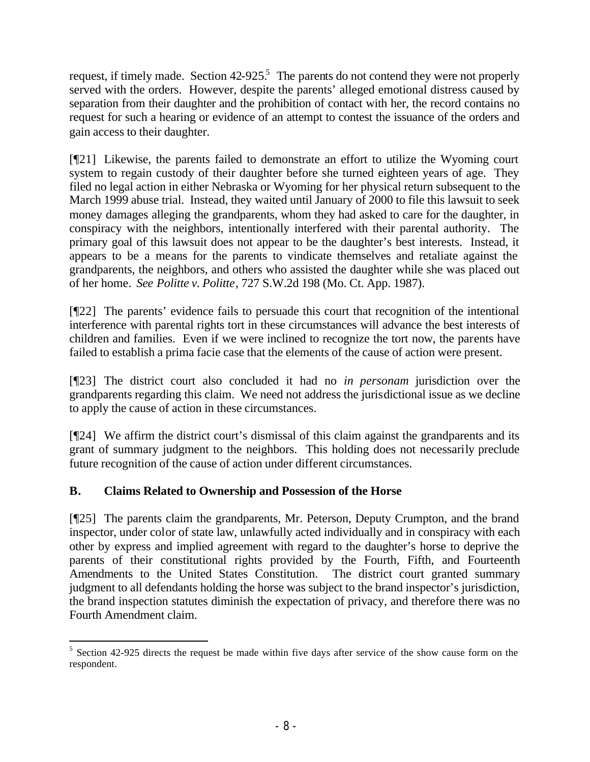request, if timely made. Section  $42-925$ <sup>5</sup>. The parents do not contend they were not properly served with the orders. However, despite the parents' alleged emotional distress caused by separation from their daughter and the prohibition of contact with her, the record contains no request for such a hearing or evidence of an attempt to contest the issuance of the orders and gain access to their daughter.

[¶21] Likewise, the parents failed to demonstrate an effort to utilize the Wyoming court system to regain custody of their daughter before she turned eighteen years of age. They filed no legal action in either Nebraska or Wyoming for her physical return subsequent to the March 1999 abuse trial. Instead, they waited until January of 2000 to file this lawsuit to seek money damages alleging the grandparents, whom they had asked to care for the daughter, in conspiracy with the neighbors, intentionally interfered with their parental authority. The primary goal of this lawsuit does not appear to be the daughter's best interests. Instead, it appears to be a means for the parents to vindicate themselves and retaliate against the grandparents, the neighbors, and others who assisted the daughter while she was placed out of her home. *See Politte v. Politte*, 727 S.W.2d 198 (Mo. Ct. App. 1987).

[¶22] The parents' evidence fails to persuade this court that recognition of the intentional interference with parental rights tort in these circumstances will advance the best interests of children and families. Even if we were inclined to recognize the tort now, the parents have failed to establish a prima facie case that the elements of the cause of action were present.

[¶23] The district court also concluded it had no *in personam* jurisdiction over the grandparents regarding this claim. We need not address the jurisdictional issue as we decline to apply the cause of action in these circumstances.

[¶24] We affirm the district court's dismissal of this claim against the grandparents and its grant of summary judgment to the neighbors. This holding does not necessarily preclude future recognition of the cause of action under different circumstances.

# **B. Claims Related to Ownership and Possession of the Horse**

[¶25] The parents claim the grandparents, Mr. Peterson, Deputy Crumpton, and the brand inspector, under color of state law, unlawfully acted individually and in conspiracy with each other by express and implied agreement with regard to the daughter's horse to deprive the parents of their constitutional rights provided by the Fourth, Fifth, and Fourteenth Amendments to the United States Constitution. The district court granted summary judgment to all defendants holding the horse was subject to the brand inspector's jurisdiction, the brand inspection statutes diminish the expectation of privacy, and therefore there was no Fourth Amendment claim.

  $5$  Section 42-925 directs the request be made within five days after service of the show cause form on the respondent.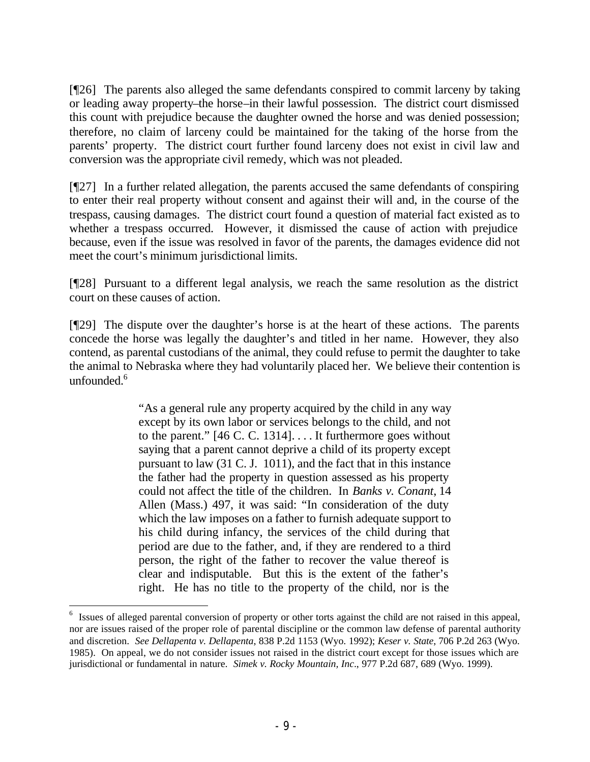[¶26] The parents also alleged the same defendants conspired to commit larceny by taking or leading away property–the horse–in their lawful possession. The district court dismissed this count with prejudice because the daughter owned the horse and was denied possession; therefore, no claim of larceny could be maintained for the taking of the horse from the parents' property. The district court further found larceny does not exist in civil law and conversion was the appropriate civil remedy, which was not pleaded.

[¶27] In a further related allegation, the parents accused the same defendants of conspiring to enter their real property without consent and against their will and, in the course of the trespass, causing damages. The district court found a question of material fact existed as to whether a trespass occurred. However, it dismissed the cause of action with prejudice because, even if the issue was resolved in favor of the parents, the damages evidence did not meet the court's minimum jurisdictional limits.

[¶28] Pursuant to a different legal analysis, we reach the same resolution as the district court on these causes of action.

[¶29] The dispute over the daughter's horse is at the heart of these actions. The parents concede the horse was legally the daughter's and titled in her name. However, they also contend, as parental custodians of the animal, they could refuse to permit the daughter to take the animal to Nebraska where they had voluntarily placed her. We believe their contention is unfounded. $6$ 

> "As a general rule any property acquired by the child in any way except by its own labor or services belongs to the child, and not to the parent." [46 C. C. 1314]. . . . It furthermore goes without saying that a parent cannot deprive a child of its property except pursuant to law (31 C. J. 1011), and the fact that in this instance the father had the property in question assessed as his property could not affect the title of the children. In *Banks v. Conant*, 14 Allen (Mass.) 497, it was said: "In consideration of the duty which the law imposes on a father to furnish adequate support to his child during infancy, the services of the child during that period are due to the father, and, if they are rendered to a third person, the right of the father to recover the value thereof is clear and indisputable. But this is the extent of the father's right. He has no title to the property of the child, nor is the

<sup>&</sup>lt;sup>6</sup> Issues of alleged parental conversion of property or other torts against the child are not raised in this appeal, nor are issues raised of the proper role of parental discipline or the common law defense of parental authority and discretion. *See Dellapenta v. Dellapenta*, 838 P.2d 1153 (Wyo. 1992); *Keser v. State*, 706 P.2d 263 (Wyo. 1985). On appeal, we do not consider issues not raised in the district court except for those issues which are jurisdictional or fundamental in nature. *Simek v. Rocky Mountain, Inc*., 977 P.2d 687, 689 (Wyo. 1999).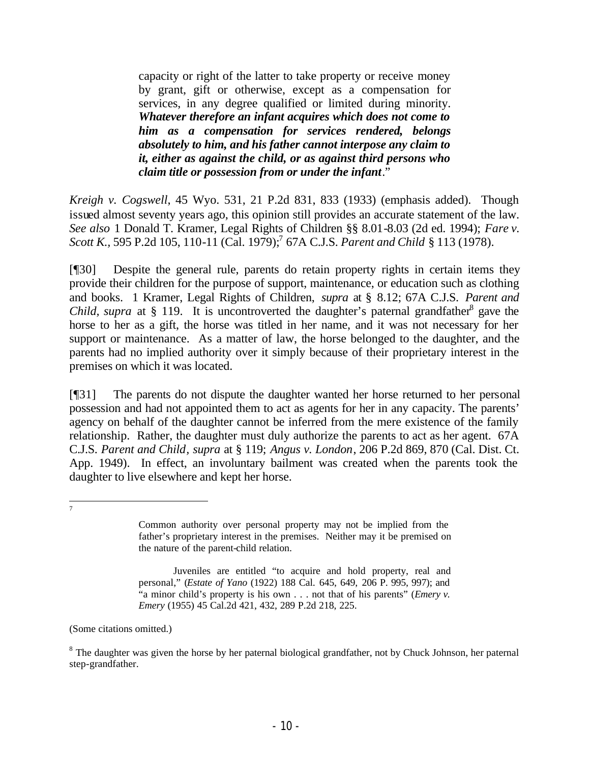capacity or right of the latter to take property or receive money by grant, gift or otherwise, except as a compensation for services, in any degree qualified or limited during minority. *Whatever therefore an infant acquires which does not come to him as a compensation for services rendered, belongs absolutely to him, and his father cannot interpose any claim to it, either as against the child, or as against third persons who claim title or possession from or under the infant*."

*Kreigh v. Cogswell*, 45 Wyo. 531, 21 P.2d 831, 833 (1933) (emphasis added). Though issued almost seventy years ago, this opinion still provides an accurate statement of the law. *See also* 1 Donald T. Kramer, Legal Rights of Children §§ 8.01-8.03 (2d ed. 1994); *Fare v. Scott K.,* 595 P.2d 105, 110-11 (Cal. 1979);<sup>7</sup> 67A C.J.S. *Parent and Child* § 113 (1978).

[¶30] Despite the general rule, parents do retain property rights in certain items they provide their children for the purpose of support, maintenance, or education such as clothing and books. 1 Kramer, Legal Rights of Children, *supra* at § 8.12; 67A C.J.S. *Parent and Child, supra* at  $\S$  119. It is uncontroverted the daughter's paternal grandfather<sup>8</sup> gave the horse to her as a gift, the horse was titled in her name, and it was not necessary for her support or maintenance. As a matter of law, the horse belonged to the daughter, and the parents had no implied authority over it simply because of their proprietary interest in the premises on which it was located.

[¶31] The parents do not dispute the daughter wanted her horse returned to her personal possession and had not appointed them to act as agents for her in any capacity. The parents' agency on behalf of the daughter cannot be inferred from the mere existence of the family relationship. Rather, the daughter must duly authorize the parents to act as her agent. 67A C.J.S. *Parent and Child, supra* at § 119; *Angus v. London*, 206 P.2d 869, 870 (Cal. Dist. Ct. App. 1949). In effect, an involuntary bailment was created when the parents took the daughter to live elsewhere and kept her horse.

 7

(Some citations omitted.)

Common authority over personal property may not be implied from the father's proprietary interest in the premises. Neither may it be premised on the nature of the parent-child relation.

Juveniles are entitled "to acquire and hold property, real and personal," (*Estate of Yano* (1922) 188 Cal. 645, 649, 206 P. 995, 997); and "a minor child's property is his own . . . not that of his parents" (*Emery v. Emery* (1955) 45 Cal.2d 421, 432, 289 P.2d 218, 225.

<sup>&</sup>lt;sup>8</sup> The daughter was given the horse by her paternal biological grandfather, not by Chuck Johnson, her paternal step-grandfather.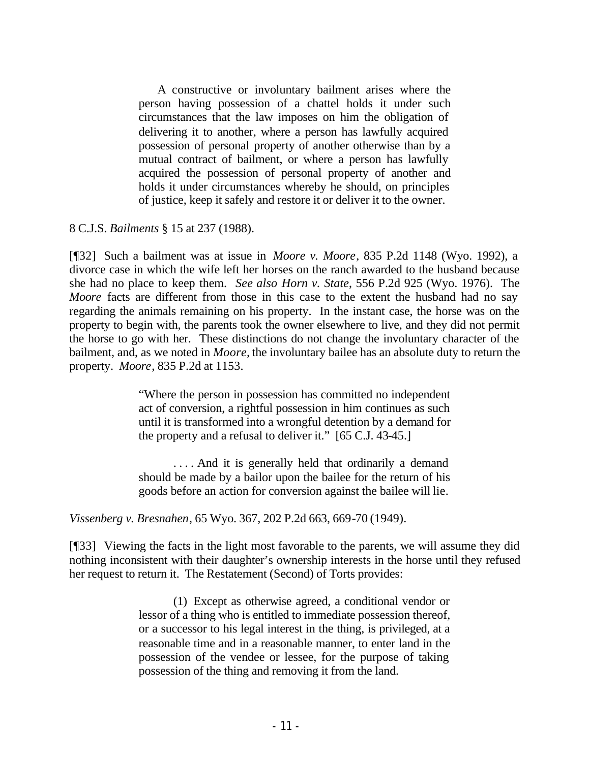A constructive or involuntary bailment arises where the person having possession of a chattel holds it under such circumstances that the law imposes on him the obligation of delivering it to another, where a person has lawfully acquired possession of personal property of another otherwise than by a mutual contract of bailment, or where a person has lawfully acquired the possession of personal property of another and holds it under circumstances whereby he should, on principles of justice, keep it safely and restore it or deliver it to the owner.

8 C.J.S. *Bailments* § 15 at 237 (1988).

[¶32] Such a bailment was at issue in *Moore v. Moore*, 835 P.2d 1148 (Wyo. 1992), a divorce case in which the wife left her horses on the ranch awarded to the husband because she had no place to keep them. *See also Horn v. State*, 556 P.2d 925 (Wyo. 1976). The *Moore* facts are different from those in this case to the extent the husband had no say regarding the animals remaining on his property. In the instant case, the horse was on the property to begin with, the parents took the owner elsewhere to live, and they did not permit the horse to go with her. These distinctions do not change the involuntary character of the bailment, and, as we noted in *Moore,* the involuntary bailee has an absolute duty to return the property. *Moore*, 835 P.2d at 1153.

> "Where the person in possession has committed no independent act of conversion, a rightful possession in him continues as such until it is transformed into a wrongful detention by a demand for the property and a refusal to deliver it." [65 C.J. 43-45.]

> ... And it is generally held that ordinarily a demand should be made by a bailor upon the bailee for the return of his goods before an action for conversion against the bailee will lie.

*Vissenberg v. Bresnahen*, 65 Wyo. 367, 202 P.2d 663, 669-70 (1949).

[¶33] Viewing the facts in the light most favorable to the parents, we will assume they did nothing inconsistent with their daughter's ownership interests in the horse until they refused her request to return it. The Restatement (Second) of Torts provides:

> (1) Except as otherwise agreed, a conditional vendor or lessor of a thing who is entitled to immediate possession thereof, or a successor to his legal interest in the thing, is privileged, at a reasonable time and in a reasonable manner, to enter land in the possession of the vendee or lessee, for the purpose of taking possession of the thing and removing it from the land.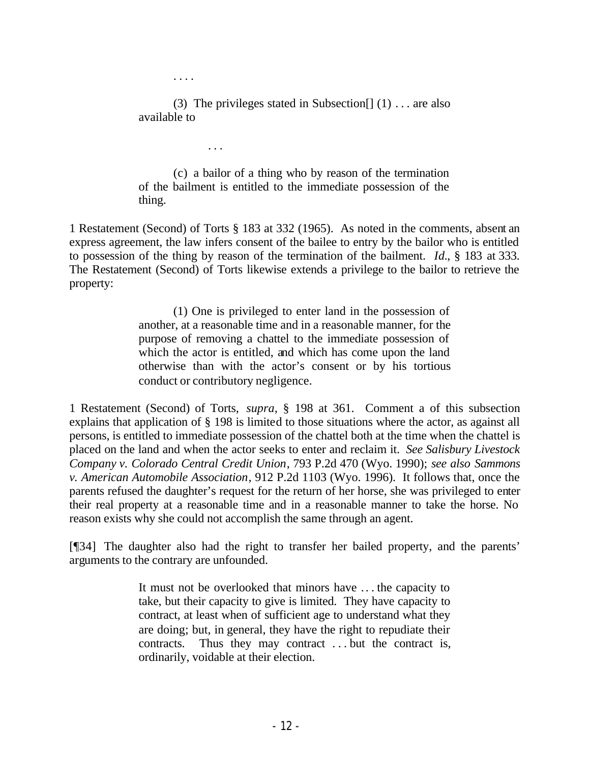. . . .

. . .

(3) The privileges stated in Subsection  $[ (1) \dots$  are also available to

(c) a bailor of a thing who by reason of the termination of the bailment is entitled to the immediate possession of the thing.

1 Restatement (Second) of Torts § 183 at 332 (1965). As noted in the comments, absent an express agreement, the law infers consent of the bailee to entry by the bailor who is entitled to possession of the thing by reason of the termination of the bailment. *Id.*, § 183 at 333. The Restatement (Second) of Torts likewise extends a privilege to the bailor to retrieve the property:

> (1) One is privileged to enter land in the possession of another, at a reasonable time and in a reasonable manner, for the purpose of removing a chattel to the immediate possession of which the actor is entitled, and which has come upon the land otherwise than with the actor's consent or by his tortious conduct or contributory negligence.

1 Restatement (Second) of Torts, *supra*, § 198 at 361. Comment a of this subsection explains that application of § 198 is limited to those situations where the actor, as against all persons, is entitled to immediate possession of the chattel both at the time when the chattel is placed on the land and when the actor seeks to enter and reclaim it. *See Salisbury Livestock Company v. Colorado Central Credit Union*, 793 P.2d 470 (Wyo. 1990); *see also Sammons v. American Automobile Association*, 912 P.2d 1103 (Wyo. 1996). It follows that, once the parents refused the daughter's request for the return of her horse, she was privileged to enter their real property at a reasonable time and in a reasonable manner to take the horse. No reason exists why she could not accomplish the same through an agent.

[¶34] The daughter also had the right to transfer her bailed property, and the parents' arguments to the contrary are unfounded.

> It must not be overlooked that minors have .. . the capacity to take, but their capacity to give is limited. They have capacity to contract, at least when of sufficient age to understand what they are doing; but, in general, they have the right to repudiate their contracts. Thus they may contract . . . but the contract is, ordinarily, voidable at their election.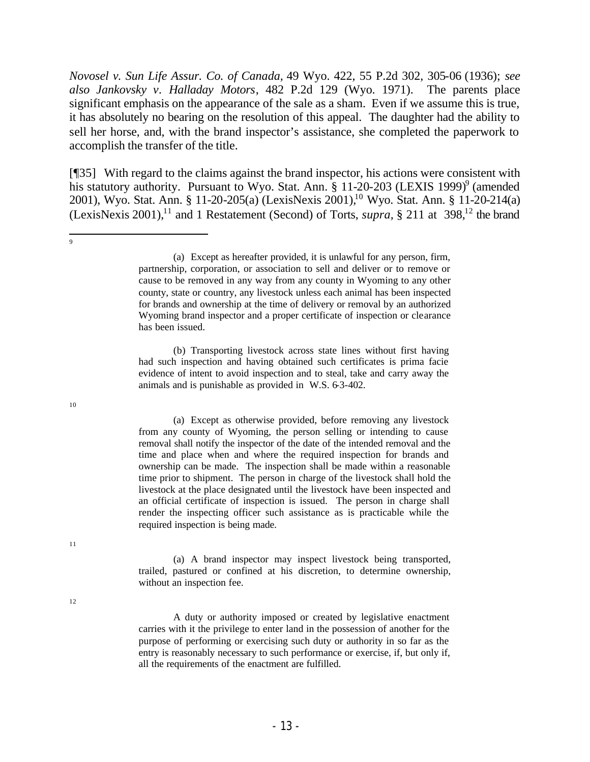*Novosel v. Sun Life Assur. Co. of Canada,* 49 Wyo. 422, 55 P.2d 302, 305-06 (1936); *see also Jankovsky v. Halladay Motors*, 482 P.2d 129 (Wyo. 1971). The parents place significant emphasis on the appearance of the sale as a sham. Even if we assume this is true, it has absolutely no bearing on the resolution of this appeal. The daughter had the ability to sell her horse, and, with the brand inspector's assistance, she completed the paperwork to accomplish the transfer of the title.

[¶35] With regard to the claims against the brand inspector, his actions were consistent with his statutory authority. Pursuant to Wyo. Stat. Ann. § 11-20-203 (LEXIS 1999)<sup>9</sup> (amended 2001), Wyo. Stat. Ann. § 11-20-205(a) (LexisNexis 2001),<sup>10</sup> Wyo. Stat. Ann. § 11-20-214(a) (LexisNexis 2001),<sup>11</sup> and 1 Restatement (Second) of Torts, *supra*, § 211 at  $398$ <sup>12</sup>, the brand

(b) Transporting livestock across state lines without first having had such inspection and having obtained such certificates is prima facie evidence of intent to avoid inspection and to steal, take and carry away the animals and is punishable as provided in W.S. 6-3-402.

(a) Except as otherwise provided, before removing any livestock from any county of Wyoming, the person selling or intending to cause removal shall notify the inspector of the date of the intended removal and the time and place when and where the required inspection for brands and ownership can be made. The inspection shall be made within a reasonable time prior to shipment. The person in charge of the livestock shall hold the livestock at the place designated until the livestock have been inspected and an official certificate of inspection is issued. The person in charge shall render the inspecting officer such assistance as is practicable while the required inspection is being made.

(a) A brand inspector may inspect livestock being transported, trailed, pastured or confined at his discretion, to determine ownership, without an inspection fee.

A duty or authority imposed or created by legislative enactment carries with it the privilege to enter land in the possession of another for the purpose of performing or exercising such duty or authority in so far as the entry is reasonably necessary to such performance or exercise, if, but only if, all the requirements of the enactment are fulfilled.

10

 9

12

<sup>(</sup>a) Except as hereafter provided, it is unlawful for any person, firm, partnership, corporation, or association to sell and deliver or to remove or cause to be removed in any way from any county in Wyoming to any other county, state or country, any livestock unless each animal has been inspected for brands and ownership at the time of delivery or removal by an authorized Wyoming brand inspector and a proper certificate of inspection or clearance has been issued.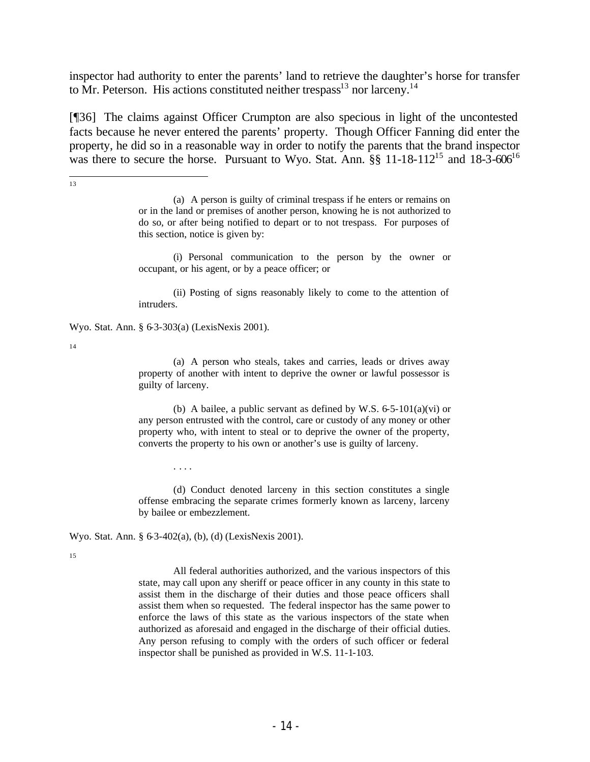inspector had authority to enter the parents' land to retrieve the daughter's horse for transfer to Mr. Peterson. His actions constituted neither trespass<sup>13</sup> nor larceny.<sup>14</sup>

[¶36] The claims against Officer Crumpton are also specious in light of the uncontested facts because he never entered the parents' property. Though Officer Fanning did enter the property, he did so in a reasonable way in order to notify the parents that the brand inspector was there to secure the horse. Pursuant to Wyo. Stat. Ann.  $\S$ § 11-18-112<sup>15</sup> and 18-3-606<sup>16</sup>

> (a) A person is guilty of criminal trespass if he enters or remains on or in the land or premises of another person, knowing he is not authorized to do so, or after being notified to depart or to not trespass. For purposes of this section, notice is given by:

> (i) Personal communication to the person by the owner or occupant, or his agent, or by a peace officer; or

> (ii) Posting of signs reasonably likely to come to the attention of intruders.

Wyo. Stat. Ann. § 6-3-303(a) (LexisNexis 2001).

14

<sup>13</sup>

(a) A person who steals, takes and carries, leads or drives away property of another with intent to deprive the owner or lawful possessor is guilty of larceny.

(b) A bailee, a public servant as defined by W.S.  $6-5-101(a)(vi)$  or any person entrusted with the control, care or custody of any money or other property who, with intent to steal or to deprive the owner of the property, converts the property to his own or another's use is guilty of larceny.

(d) Conduct denoted larceny in this section constitutes a single offense embracing the separate crimes formerly known as larceny, larceny by bailee or embezzlement.

Wyo. Stat. Ann. § 6-3-402(a), (b), (d) (LexisNexis 2001).

. . . .

15

All federal authorities authorized, and the various inspectors of this state, may call upon any sheriff or peace officer in any county in this state to assist them in the discharge of their duties and those peace officers shall assist them when so requested. The federal inspector has the same power to enforce the laws of this state as the various inspectors of the state when authorized as aforesaid and engaged in the discharge of their official duties. Any person refusing to comply with the orders of such officer or federal inspector shall be punished as provided in W.S. 11-1-103.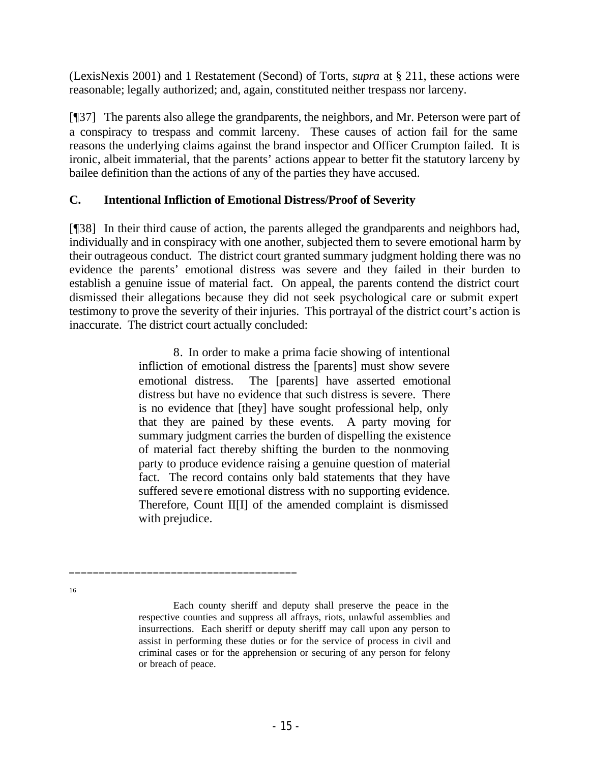(LexisNexis 2001) and 1 Restatement (Second) of Torts, *supra* at § 211, these actions were reasonable; legally authorized; and, again, constituted neither trespass nor larceny.

[¶37] The parents also allege the grandparents, the neighbors, and Mr. Peterson were part of a conspiracy to trespass and commit larceny. These causes of action fail for the same reasons the underlying claims against the brand inspector and Officer Crumpton failed. It is ironic, albeit immaterial, that the parents' actions appear to better fit the statutory larceny by bailee definition than the actions of any of the parties they have accused.

## **C. Intentional Infliction of Emotional Distress/Proof of Severity**

[¶38] In their third cause of action, the parents alleged the grandparents and neighbors had, individually and in conspiracy with one another, subjected them to severe emotional harm by their outrageous conduct. The district court granted summary judgment holding there was no evidence the parents' emotional distress was severe and they failed in their burden to establish a genuine issue of material fact. On appeal, the parents contend the district court dismissed their allegations because they did not seek psychological care or submit expert testimony to prove the severity of their injuries. This portrayal of the district court's action is inaccurate. The district court actually concluded:

> 8. In order to make a prima facie showing of intentional infliction of emotional distress the [parents] must show severe emotional distress. The [parents] have asserted emotional distress but have no evidence that such distress is severe. There is no evidence that [they] have sought professional help, only that they are pained by these events. A party moving for summary judgment carries the burden of dispelling the existence of material fact thereby shifting the burden to the nonmoving party to produce evidence raising a genuine question of material fact. The record contains only bald statements that they have suffered severe emotional distress with no supporting evidence. Therefore, Count II[I] of the amended complaint is dismissed with prejudice.

> Each county sheriff and deputy shall preserve the peace in the respective counties and suppress all affrays, riots, unlawful assemblies and insurrections. Each sheriff or deputy sheriff may call upon any person to assist in performing these duties or for the service of process in civil and criminal cases or for the apprehension or securing of any person for felony or breach of peace.

\_\_\_\_\_\_\_\_\_\_\_\_\_\_\_\_\_\_\_\_\_\_\_\_\_\_\_\_\_\_\_\_\_\_\_\_\_\_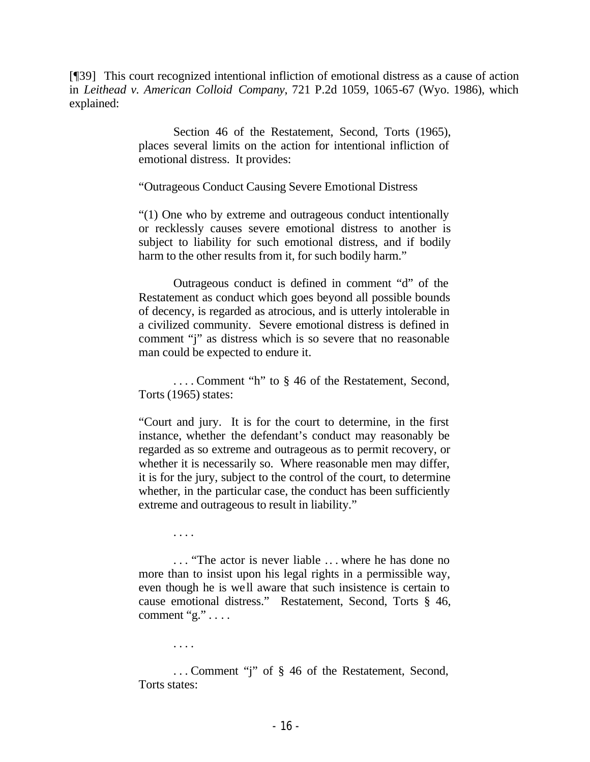[¶39] This court recognized intentional infliction of emotional distress as a cause of action in *Leithead v. American Colloid Company*, 721 P.2d 1059, 1065-67 (Wyo. 1986), which explained:

> Section 46 of the Restatement, Second, Torts (1965), places several limits on the action for intentional infliction of emotional distress. It provides:

"Outrageous Conduct Causing Severe Emotional Distress

"(1) One who by extreme and outrageous conduct intentionally or recklessly causes severe emotional distress to another is subject to liability for such emotional distress, and if bodily harm to the other results from it, for such bodily harm."

Outrageous conduct is defined in comment "d" of the Restatement as conduct which goes beyond all possible bounds of decency, is regarded as atrocious, and is utterly intolerable in a civilized community. Severe emotional distress is defined in comment "j" as distress which is so severe that no reasonable man could be expected to endure it.

. . . . Comment "h" to § 46 of the Restatement, Second, Torts (1965) states:

"Court and jury. It is for the court to determine, in the first instance, whether the defendant's conduct may reasonably be regarded as so extreme and outrageous as to permit recovery, or whether it is necessarily so. Where reasonable men may differ, it is for the jury, subject to the control of the court, to determine whether, in the particular case, the conduct has been sufficiently extreme and outrageous to result in liability."

. . . .

. . . "The actor is never liable .. . where he has done no more than to insist upon his legal rights in a permissible way, even though he is well aware that such insistence is certain to cause emotional distress." Restatement, Second, Torts § 46, comment "g."  $\dots$ 

. . . .

. . . Comment "j" of § 46 of the Restatement, Second, Torts states: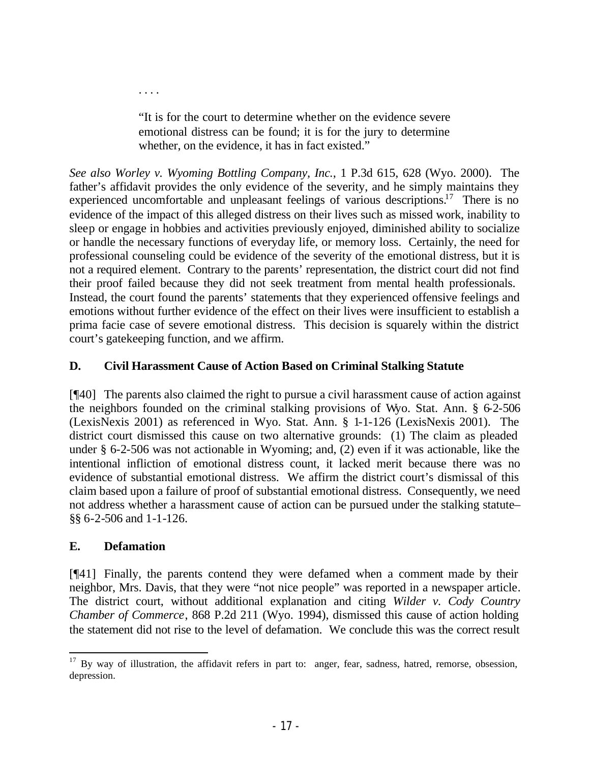"It is for the court to determine whether on the evidence severe emotional distress can be found; it is for the jury to determine whether, on the evidence, it has in fact existed."

*See also Worley v. Wyoming Bottling Company, Inc.*, 1 P.3d 615, 628 (Wyo. 2000). The father's affidavit provides the only evidence of the severity, and he simply maintains they experienced uncomfortable and unpleasant feelings of various descriptions.<sup>17</sup> There is no evidence of the impact of this alleged distress on their lives such as missed work, inability to sleep or engage in hobbies and activities previously enjoyed, diminished ability to socialize or handle the necessary functions of everyday life, or memory loss. Certainly, the need for professional counseling could be evidence of the severity of the emotional distress, but it is not a required element. Contrary to the parents' representation, the district court did not find their proof failed because they did not seek treatment from mental health professionals. Instead, the court found the parents' statements that they experienced offensive feelings and emotions without further evidence of the effect on their lives were insufficient to establish a prima facie case of severe emotional distress. This decision is squarely within the district court's gatekeeping function, and we affirm.

## **D. Civil Harassment Cause of Action Based on Criminal Stalking Statute**

[¶40] The parents also claimed the right to pursue a civil harassment cause of action against the neighbors founded on the criminal stalking provisions of Wyo. Stat. Ann. § 6-2-506 (LexisNexis 2001) as referenced in Wyo. Stat. Ann. § 1-1-126 (LexisNexis 2001). The district court dismissed this cause on two alternative grounds: (1) The claim as pleaded under § 6-2-506 was not actionable in Wyoming; and, (2) even if it was actionable, like the intentional infliction of emotional distress count, it lacked merit because there was no evidence of substantial emotional distress. We affirm the district court's dismissal of this claim based upon a failure of proof of substantial emotional distress. Consequently, we need not address whether a harassment cause of action can be pursued under the stalking statute– §§ 6-2-506 and 1-1-126.

## **E. Defamation**

. . . .

[¶41] Finally, the parents contend they were defamed when a comment made by their neighbor, Mrs. Davis, that they were "not nice people" was reported in a newspaper article*.* The district court, without additional explanation and citing *Wilder v. Cody Country Chamber of Commerce*, 868 P.2d 211 (Wyo. 1994), dismissed this cause of action holding the statement did not rise to the level of defamation. We conclude this was the correct result

 $17$  By way of illustration, the affidavit refers in part to: anger, fear, sadness, hatred, remorse, obsession, depression.